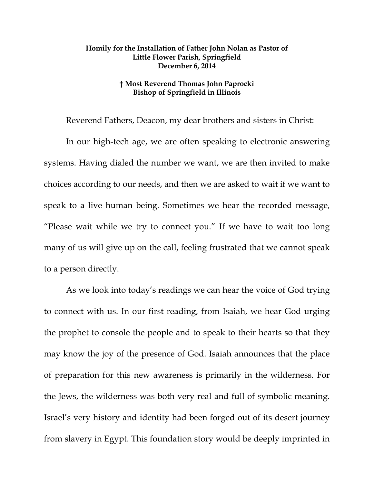## **Homily for the Installation of Father John Nolan as Pastor of Little Flower Parish, Springfield December 6, 2014**

## **† Most Reverend Thomas John Paprocki Bishop of Springfield in Illinois**

Reverend Fathers, Deacon, my dear brothers and sisters in Christ:

In our high-tech age, we are often speaking to electronic answering systems. Having dialed the number we want, we are then invited to make choices according to our needs, and then we are asked to wait if we want to speak to a live human being. Sometimes we hear the recorded message, "Please wait while we try to connect you." If we have to wait too long many of us will give up on the call, feeling frustrated that we cannot speak to a person directly.

As we look into today's readings we can hear the voice of God trying to connect with us. In our first reading, from Isaiah, we hear God urging the prophet to console the people and to speak to their hearts so that they may know the joy of the presence of God. Isaiah announces that the place of preparation for this new awareness is primarily in the wilderness. For the Jews, the wilderness was both very real and full of symbolic meaning. Israel's very history and identity had been forged out of its desert journey from slavery in Egypt. This foundation story would be deeply imprinted in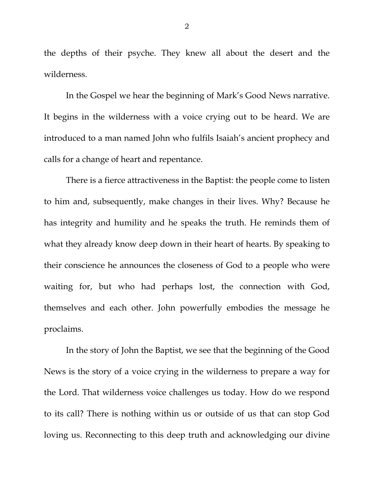the depths of their psyche. They knew all about the desert and the wilderness.

In the Gospel we hear the beginning of Mark's Good News narrative. It begins in the wilderness with a voice crying out to be heard. We are introduced to a man named John who fulfils Isaiah's ancient prophecy and calls for a change of heart and repentance.

There is a fierce attractiveness in the Baptist: the people come to listen to him and, subsequently, make changes in their lives. Why? Because he has integrity and humility and he speaks the truth. He reminds them of what they already know deep down in their heart of hearts. By speaking to their conscience he announces the closeness of God to a people who were waiting for, but who had perhaps lost, the connection with God, themselves and each other. John powerfully embodies the message he proclaims.

In the story of John the Baptist, we see that the beginning of the Good News is the story of a voice crying in the wilderness to prepare a way for the Lord. That wilderness voice challenges us today. How do we respond to its call? There is nothing within us or outside of us that can stop God loving us. Reconnecting to this deep truth and acknowledging our divine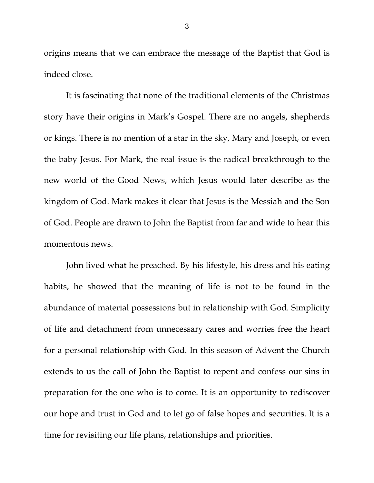origins means that we can embrace the message of the Baptist that God is indeed close.

It is fascinating that none of the traditional elements of the Christmas story have their origins in Mark's Gospel. There are no angels, shepherds or kings. There is no mention of a star in the sky, Mary and Joseph, or even the baby Jesus. For Mark, the real issue is the radical breakthrough to the new world of the Good News, which Jesus would later describe as the kingdom of God. Mark makes it clear that Jesus is the Messiah and the Son of God. People are drawn to John the Baptist from far and wide to hear this momentous news.

John lived what he preached. By his lifestyle, his dress and his eating habits, he showed that the meaning of life is not to be found in the abundance of material possessions but in relationship with God. Simplicity of life and detachment from unnecessary cares and worries free the heart for a personal relationship with God. In this season of Advent the Church extends to us the call of John the Baptist to repent and confess our sins in preparation for the one who is to come. It is an opportunity to rediscover our hope and trust in God and to let go of false hopes and securities. It is a time for revisiting our life plans, relationships and priorities.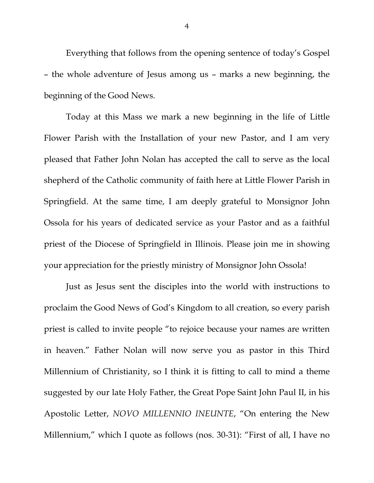Everything that follows from the opening sentence of today's Gospel – the whole adventure of Jesus among us – marks a new beginning, the beginning of the Good News.

Today at this Mass we mark a new beginning in the life of Little Flower Parish with the Installation of your new Pastor, and I am very pleased that Father John Nolan has accepted the call to serve as the local shepherd of the Catholic community of faith here at Little Flower Parish in Springfield. At the same time, I am deeply grateful to Monsignor John Ossola for his years of dedicated service as your Pastor and as a faithful priest of the Diocese of Springfield in Illinois. Please join me in showing your appreciation for the priestly ministry of Monsignor John Ossola!

Just as Jesus sent the disciples into the world with instructions to proclaim the Good News of God's Kingdom to all creation, so every parish priest is called to invite people "to rejoice because your names are written in heaven." Father Nolan will now serve you as pastor in this Third Millennium of Christianity, so I think it is fitting to call to mind a theme suggested by our late Holy Father, the Great Pope Saint John Paul II, in his Apostolic Letter, *NOVO MILLENNIO INEUNTE*, "On entering the New Millennium," which I quote as follows (nos. 30-31): "First of all, I have no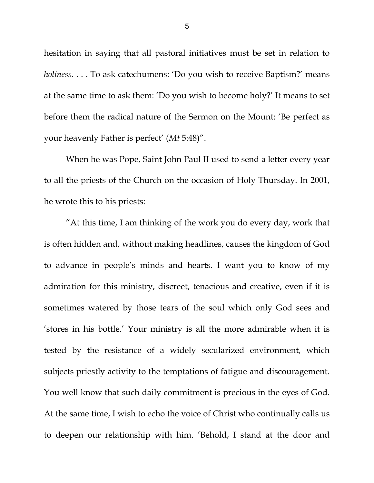hesitation in saying that all pastoral initiatives must be set in relation to *holiness*. . . . To ask catechumens: 'Do you wish to receive Baptism?' means at the same time to ask them: 'Do you wish to become holy?' It means to set before them the radical nature of the Sermon on the Mount: 'Be perfect as your heavenly Father is perfect' (*Mt* 5:48)".

When he was Pope, Saint John Paul II used to send a letter every year to all the priests of the Church on the occasion of Holy Thursday. In 2001, he wrote this to his priests:

"At this time, I am thinking of the work you do every day, work that is often hidden and, without making headlines, causes the kingdom of God to advance in people's minds and hearts. I want you to know of my admiration for this ministry, discreet, tenacious and creative, even if it is sometimes watered by those tears of the soul which only God sees and 'stores in his bottle.' Your ministry is all the more admirable when it is tested by the resistance of a widely secularized environment, which subjects priestly activity to the temptations of fatigue and discouragement. You well know that such daily commitment is precious in the eyes of God. At the same time, I wish to echo the voice of Christ who continually calls us to deepen our relationship with him. 'Behold, I stand at the door and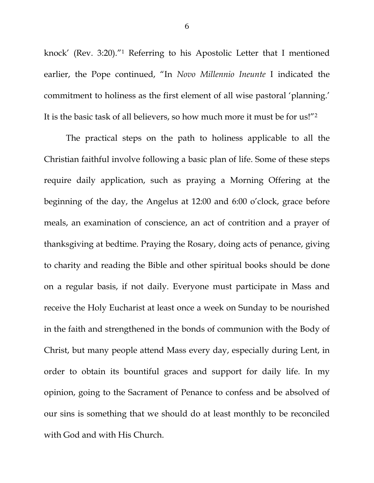knock' (Rev. 3:20)."1 Referring to his Apostolic Letter that I mentioned earlier, the Pope continued, "In *Novo Millennio Ineunte* I indicated the commitment to holiness as the first element of all wise pastoral 'planning.' It is the basic task of all believers, so how much more it must be for us!"2

 The practical steps on the path to holiness applicable to all the Christian faithful involve following a basic plan of life. Some of these steps require daily application, such as praying a Morning Offering at the beginning of the day, the Angelus at 12:00 and 6:00 o'clock, grace before meals, an examination of conscience, an act of contrition and a prayer of thanksgiving at bedtime. Praying the Rosary, doing acts of penance, giving to charity and reading the Bible and other spiritual books should be done on a regular basis, if not daily. Everyone must participate in Mass and receive the Holy Eucharist at least once a week on Sunday to be nourished in the faith and strengthened in the bonds of communion with the Body of Christ, but many people attend Mass every day, especially during Lent, in order to obtain its bountiful graces and support for daily life. In my opinion, going to the Sacrament of Penance to confess and be absolved of our sins is something that we should do at least monthly to be reconciled with God and with His Church.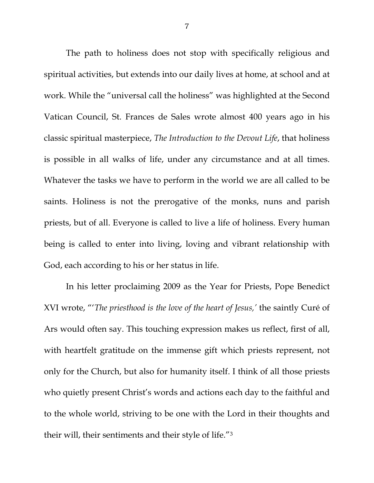The path to holiness does not stop with specifically religious and spiritual activities, but extends into our daily lives at home, at school and at work. While the "universal call the holiness" was highlighted at the Second Vatican Council, St. Frances de Sales wrote almost 400 years ago in his classic spiritual masterpiece, *The Introduction to the Devout Life*, that holiness is possible in all walks of life, under any circumstance and at all times. Whatever the tasks we have to perform in the world we are all called to be saints. Holiness is not the prerogative of the monks, nuns and parish priests, but of all. Everyone is called to live a life of holiness. Every human being is called to enter into living, loving and vibrant relationship with God, each according to his or her status in life.

In his letter proclaiming 2009 as the Year for Priests, Pope Benedict XVI wrote, "'*The priesthood is the love of the heart of Jesus,'* the saintly Curé of Ars would often say. This touching expression makes us reflect, first of all, with heartfelt gratitude on the immense gift which priests represent, not only for the Church, but also for humanity itself. I think of all those priests who quietly present Christ's words and actions each day to the faithful and to the whole world, striving to be one with the Lord in their thoughts and their will, their sentiments and their style of life."3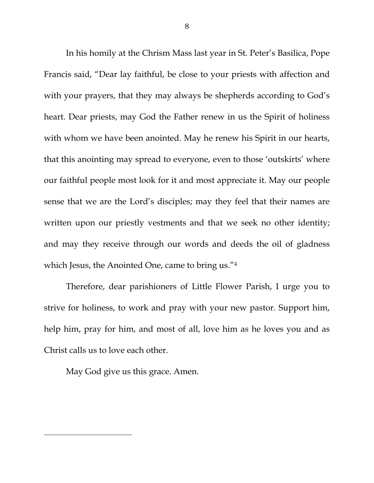In his homily at the Chrism Mass last year in St. Peter's Basilica, Pope Francis said, "Dear lay faithful, be close to your priests with affection and with your prayers, that they may always be shepherds according to God's heart. Dear priests, may God the Father renew in us the Spirit of holiness with whom we have been anointed. May he renew his Spirit in our hearts, that this anointing may spread to everyone, even to those 'outskirts' where our faithful people most look for it and most appreciate it. May our people sense that we are the Lord's disciples; may they feel that their names are written upon our priestly vestments and that we seek no other identity; and may they receive through our words and deeds the oil of gladness which Jesus, the Anointed One, came to bring us."<sup>4</sup>

Therefore, dear parishioners of Little Flower Parish, I urge you to strive for holiness, to work and pray with your new pastor. Support him, help him, pray for him, and most of all, love him as he loves you and as Christ calls us to love each other.

May God give us this grace. Amen.

 $\overline{a}$